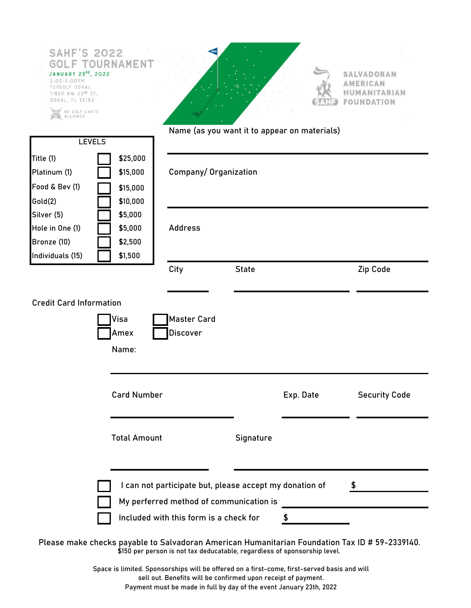| <b>SAHF'S 2022</b><br>GO<br><b>JANUARY 23<sup>80</sup>, 2022</b><br>$2:00 - 5:00 PM$<br>TOPGOLF DORAL<br>11850 NW 22 <sup>ND</sup> ST.,<br>DORAL, FL 33182 | <b>OURNAME!</b>     |                                        |                                                         |                                                                           | <b>SALVADORAN</b><br><b>AMERICAN</b><br>HUMANITARIAN<br><b>FOUNDATION</b>                      |
|------------------------------------------------------------------------------------------------------------------------------------------------------------|---------------------|----------------------------------------|---------------------------------------------------------|---------------------------------------------------------------------------|------------------------------------------------------------------------------------------------|
| NO GOLF CARTS<br>ALLOWED                                                                                                                                   |                     |                                        |                                                         |                                                                           |                                                                                                |
|                                                                                                                                                            |                     |                                        | Name (as you want it to appear on materials)            |                                                                           |                                                                                                |
| <b>LEVELS</b>                                                                                                                                              |                     |                                        |                                                         |                                                                           |                                                                                                |
| Title (1)                                                                                                                                                  | \$25,000            |                                        |                                                         |                                                                           |                                                                                                |
| Platinum (1)                                                                                                                                               | \$15,000            | Company/Organization                   |                                                         |                                                                           |                                                                                                |
| Food & Bev (1)                                                                                                                                             | \$15,000            |                                        |                                                         |                                                                           |                                                                                                |
| Gold(2)                                                                                                                                                    | \$10,000            |                                        |                                                         |                                                                           |                                                                                                |
| Silver (5)                                                                                                                                                 | \$5,000             |                                        |                                                         |                                                                           |                                                                                                |
| Hole in One (1)                                                                                                                                            | \$5,000             | <b>Address</b>                         |                                                         |                                                                           |                                                                                                |
| Bronze (10)                                                                                                                                                | \$2,500             |                                        |                                                         |                                                                           |                                                                                                |
| Individuals (15)                                                                                                                                           | \$1,500             |                                        |                                                         |                                                                           |                                                                                                |
|                                                                                                                                                            |                     | City                                   | <b>State</b>                                            |                                                                           | Zip Code                                                                                       |
|                                                                                                                                                            | Amex<br>Name:       | Discover                               |                                                         |                                                                           |                                                                                                |
|                                                                                                                                                            |                     | <b>Card Number</b>                     |                                                         | Exp. Date                                                                 | <b>Security Code</b>                                                                           |
|                                                                                                                                                            | <b>Total Amount</b> |                                        | Signature                                               |                                                                           |                                                                                                |
|                                                                                                                                                            |                     |                                        | I can not participate but, please accept my donation of |                                                                           | \$                                                                                             |
|                                                                                                                                                            |                     |                                        | My perferred method of communication is                 |                                                                           |                                                                                                |
|                                                                                                                                                            |                     | Included with this form is a check for |                                                         | $\frac{1}{2}$                                                             |                                                                                                |
|                                                                                                                                                            |                     |                                        |                                                         | \$150 per person is not tax deducatable, regardless of sponsorship level. | Please make checks payable to Salvadoran American Humanitarian Foundation Tax ID # 59-2339140. |

Space is limited. Sponsorships will be offered on a first-come, first-served basis and will sell out. Benefits will be confirmed upon receipt of payment. Payment must be made in full by day of the event January 23th, 2022